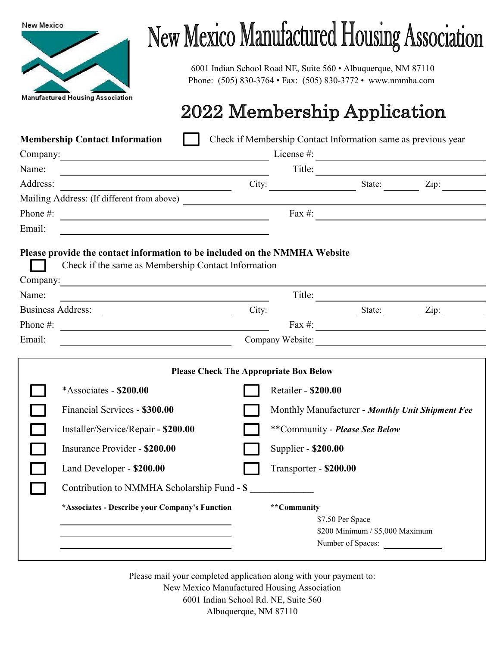

## **New Mexico Manufactured Housing Association**

6001 Indian School Road NE, Suite 560 • Albuquerque, NM 87110 Phone: (505) 830-3764 • Fax: (505) 830-3772 • www.nmmha.com

## 2022 Membership Application

|                                                                                                                                                                                                                                | <b>Membership Contact Information</b>                                                                                 |                  |                                                                                                           |                                                      | Check if Membership Contact Information same as previous year |  |
|--------------------------------------------------------------------------------------------------------------------------------------------------------------------------------------------------------------------------------|-----------------------------------------------------------------------------------------------------------------------|------------------|-----------------------------------------------------------------------------------------------------------|------------------------------------------------------|---------------------------------------------------------------|--|
| Company: Note and the company of the company of the company of the company of the company of the company of the company of the company of the company of the company of the company of the company of the company of the compa |                                                                                                                       |                  | License $\#$ :                                                                                            |                                                      |                                                               |  |
| Name:                                                                                                                                                                                                                          |                                                                                                                       |                  |                                                                                                           |                                                      | Title:                                                        |  |
| Address:                                                                                                                                                                                                                       | <u> 1989 - Johann Barn, mars and de Branch Barn, mars and de Branch Barn, mars and de Branch Barn, mars and de Br</u> |                  |                                                                                                           |                                                      | City: State: Zip: Zip:                                        |  |
|                                                                                                                                                                                                                                |                                                                                                                       |                  |                                                                                                           |                                                      |                                                               |  |
|                                                                                                                                                                                                                                | Phone $\#$ :                                                                                                          |                  |                                                                                                           |                                                      | $\frac{1}{2}$ Fax #:                                          |  |
| Email:                                                                                                                                                                                                                         |                                                                                                                       |                  |                                                                                                           |                                                      |                                                               |  |
| Please provide the contact information to be included on the NMMHA Website<br>Check if the same as Membership Contact Information                                                                                              |                                                                                                                       |                  |                                                                                                           |                                                      |                                                               |  |
| Name:                                                                                                                                                                                                                          |                                                                                                                       |                  |                                                                                                           |                                                      |                                                               |  |
|                                                                                                                                                                                                                                | Business Address:                                                                                                     |                  |                                                                                                           |                                                      | City: State: Zip:                                             |  |
| Phone #:                                                                                                                                                                                                                       | <u> 1989 - Andrea Andrew Maria (b. 1989)</u>                                                                          |                  |                                                                                                           |                                                      | Fax $\#$ :                                                    |  |
| Email:                                                                                                                                                                                                                         |                                                                                                                       | Company Website: |                                                                                                           |                                                      |                                                               |  |
| <b>Please Check The Appropriate Box Below</b><br>*Associates - \$200.00<br>Financial Services - \$300.00<br>Installer/Service/Repair - \$200.00                                                                                |                                                                                                                       |                  | Retailer - \$200.00<br>Monthly Manufacturer - Monthly Unit Shipment Fee<br>**Community - Please See Below |                                                      |                                                               |  |
|                                                                                                                                                                                                                                | Insurance Provider - \$200.00                                                                                         |                  | Supplier - \$200.00                                                                                       |                                                      |                                                               |  |
|                                                                                                                                                                                                                                | Land Developer - \$200.00                                                                                             |                  | Transporter - \$200.00                                                                                    |                                                      |                                                               |  |
|                                                                                                                                                                                                                                | Contribution to NMMHA Scholarship Fund - \$                                                                           |                  |                                                                                                           |                                                      |                                                               |  |
|                                                                                                                                                                                                                                | *Associates - Describe your Company's Function                                                                        | **Community      | \$7.50 Per Space                                                                                          | \$200 Minimum / \$5,000 Maximum<br>Number of Spaces: |                                                               |  |

Please mail your completed application along with your payment to: New Mexico Manufactured Housing Association 6001 Indian School Rd. NE, Suite 560

Albuquerque, NM 87110